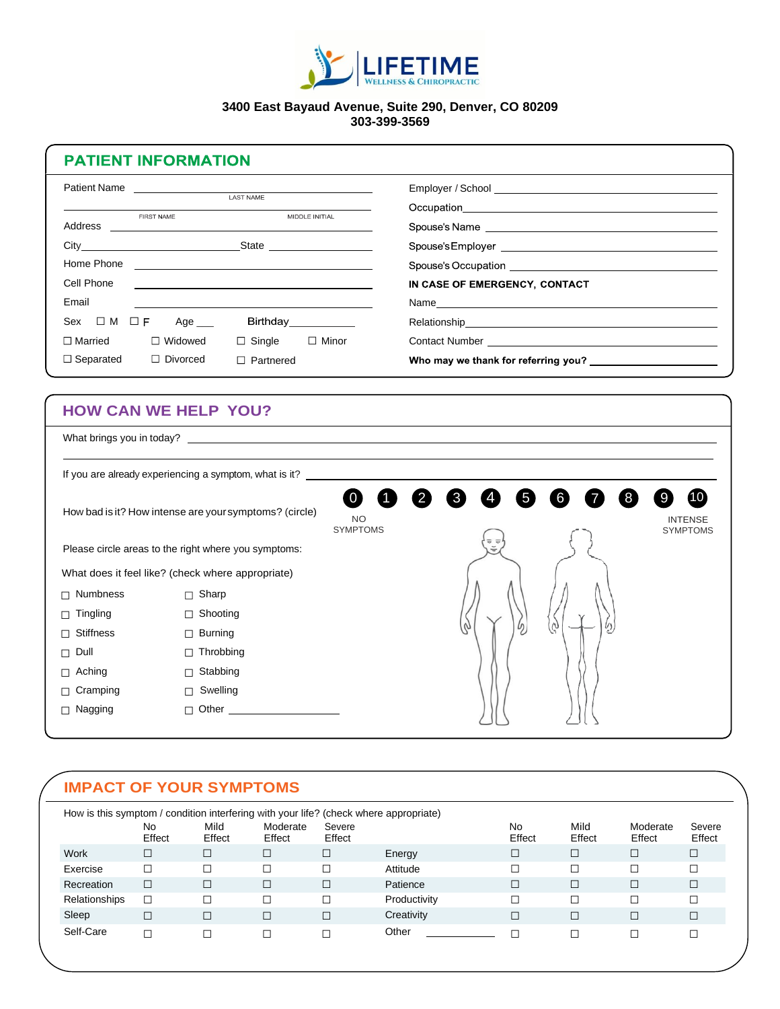

## **3400 East Bayaud Avenue, Suite 290, Denver, CO 80209 303-399-3569**

## **PATIENT INFORMATION**

| Patient Name                        | LAST NAME                                                                                                                |                                                                                                                                                                                                                                |
|-------------------------------------|--------------------------------------------------------------------------------------------------------------------------|--------------------------------------------------------------------------------------------------------------------------------------------------------------------------------------------------------------------------------|
| FIRST NAME                          | MIDDLE INITIAL                                                                                                           |                                                                                                                                                                                                                                |
|                                     |                                                                                                                          | Spouse's Name entrance and the service of the service of the service of the service of the service of the service of the service of the service of the service of the service of the service of the service of the service of  |
| City State State                    |                                                                                                                          |                                                                                                                                                                                                                                |
| Home Phone                          | <u> 2008 - Andrea Andrew Maria (h. 1878).</u>                                                                            |                                                                                                                                                                                                                                |
| Cell Phone                          | <u>a sa barang sa mga barang sa mga barang sa mga barang sa mga barang sa mga barang sa mga barang sa mga barang sa </u> | IN CASE OF EMERGENCY, CONTACT                                                                                                                                                                                                  |
| Email                               |                                                                                                                          | Name experience and a series of the series of the series of the series of the series of the series of the series of the series of the series of the series of the series of the series of the series of the series of the seri |
| $Sex \Box M \Box F$<br>Age          | Birthday___________                                                                                                      |                                                                                                                                                                                                                                |
| $\Box$ Married<br>$\Box$ Widowed    | $\Box$ Single $\Box$ Minor                                                                                               |                                                                                                                                                                                                                                |
| $\Box$ Separated<br>$\Box$ Divorced | Partnered                                                                                                                |                                                                                                                                                                                                                                |

## **HOW CAN WE HELP YOU?**

| What brings you in today?                              |                                                        |        |                                         |                                   |  |
|--------------------------------------------------------|--------------------------------------------------------|--------|-----------------------------------------|-----------------------------------|--|
|                                                        | If you are already experiencing a symptom, what is it? |        |                                         |                                   |  |
| How bad is it? How intense are your symptoms? (circle) | <b>NO</b><br><b>SYMPTOMS</b>                           | 3<br>5 | 6                                       | <b>INTENSE</b><br><b>SYMPTOMS</b> |  |
| Please circle areas to the right where you symptoms:   |                                                        |        | $\overline{\sigma}$ $\overline{\sigma}$ |                                   |  |
| What does it feel like? (check where appropriate)      |                                                        |        |                                         |                                   |  |
| Numbness<br>п                                          | $\Box$ Sharp                                           |        |                                         |                                   |  |
| Tingling<br>П                                          | □ Shooting                                             |        |                                         |                                   |  |
| <b>Stiffness</b><br>П                                  | $\Box$ Burning                                         |        |                                         | Ø,<br>υ                           |  |
| Dull<br>П.                                             | $\Box$ Throbbing                                       |        |                                         |                                   |  |
| Aching<br>$\Box$                                       | Stabbing<br>$\Box$                                     |        |                                         |                                   |  |
| $\Box$ Cramping                                        | $\Box$ Swelling                                        |        |                                         |                                   |  |
| $\Box$ Nagging                                         | $\Box$ Other                                           |        |                                         |                                   |  |

## **IMPACT OF YOUR SYMPTOMS**

|               | No<br>Effect | Mild<br>Effect | Moderate<br>Effect | Severe<br>Effect |              | No<br>Effect | Mild<br>Effect | Moderate<br>Effect | Severe<br>Effect |
|---------------|--------------|----------------|--------------------|------------------|--------------|--------------|----------------|--------------------|------------------|
| Work          | $\Box$       |                | $\Box$             | $\Box$           | Energy       | □            | $\Box$         | П                  | $\Box$           |
| Exercise      | $\Box$       |                |                    |                  | Attitude     | Г            | С              | ┒                  | $\Box$           |
| Recreation    | $\Box$       |                | $\Box$             | $\Box$           | Patience     | □            | $\Box$         | ┚                  | $\Box$           |
| Relationships | $\Box$       |                |                    |                  | Productivity |              | Г              | - 1                |                  |
| Sleep         | $\Box$       |                | П                  | $\Box$           | Creativity   | □            | $\Box$         |                    | $\Box$           |
| Self-Care     | $\Box$       |                |                    |                  | Other        |              |                |                    |                  |

1